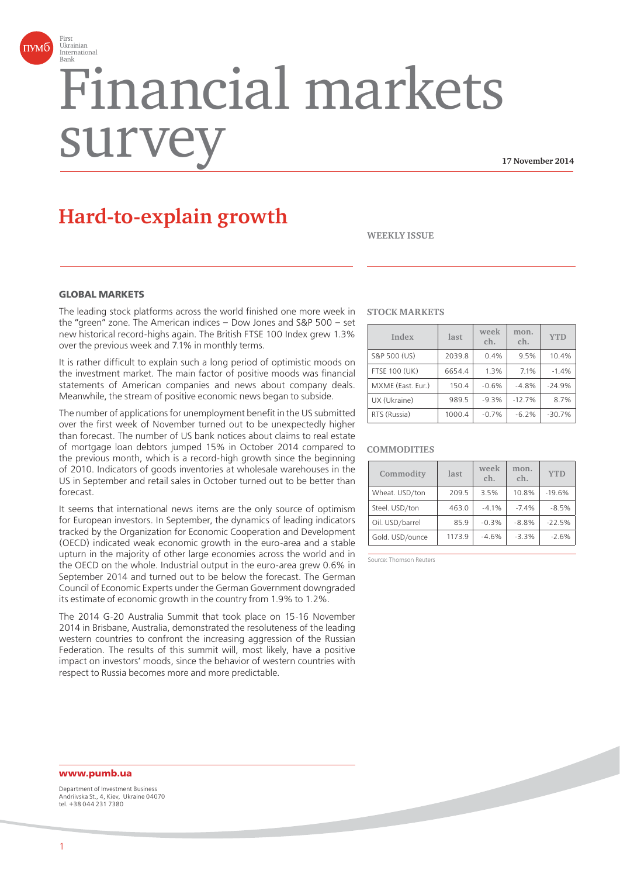

# Financial markets surv

**17 November 2014**

# **Hard-to-explain growth**

**WEEKLY ISSUE**

#### **GLORAL MARKETS**

The leading stock platforms across the world finished one more week in the "green" zone. The American indices – Dow Jones and S&P 500 – set new historical record-highs again. The British FTSE 100 Index grew 1.3% over the previous week and 7.1% in monthly terms.

It is rather difficult to explain such a long period of optimistic moods on the investment market. The main factor of positive moods was financial statements of American companies and news about company deals. Meanwhile, the stream of positive economic news began to subside.

The number of applications for unemployment benefit in the US submitted over the first week of November turned out to be unexpectedly higher than forecast. The number of US bank notices about claims to real estate of mortgage loan debtors jumped 15% in October 2014 compared to the previous month, which is a record-high growth since the beginning of 2010. Indicators of goods inventories at wholesale warehouses in the US in September and retail sales in October turned out to be better than forecast.

It seems that international news items are the only source of optimism for European investors. In September, the dynamics of leading indicators tracked by the Organization for Economic Cooperation and Development (OECD) indicated weak economic growth in the euro-area and a stable upturn in the majority of other large economies across the world and in the OECD on the whole. Industrial output in the euro-area grew 0.6% in September 2014 and turned out to be below the forecast. The German Council of Economic Experts under the German Government downgraded its estimate of economic growth in the country from 1.9% to 1.2%.

The 2014 G-20 Australia Summit that took place on 15-16 November 2014 in Brisbane, Australia, demonstrated the resoluteness of the leading western countries to confront the increasing aggression of the Russian Federation. The results of this summit will, most likely, have a positive impact on investors' moods, since the behavior of western countries with respect to Russia becomes more and more predictable.

#### **STOCK MARKETS**

| Index                | last   | week<br>ch. | mon.<br>ch. | <b>YTD</b> |
|----------------------|--------|-------------|-------------|------------|
| S&P 500 (US)         | 2039.8 | 0.4%        | 9.5%        | 10.4%      |
| <b>FTSE 100 (UK)</b> | 6654.4 | 1.3%        | 7.1%        | $-1.4%$    |
| MXME (East. Eur.)    | 150.4  | $-0.6%$     | $-4.8%$     | $-24.9%$   |
| UX (Ukraine)         | 989.5  | $-9.3%$     | $-12.7%$    | 8.7%       |
| RTS (Russia)         | 1000.4 | $-0.7%$     | $-6.2%$     | $-30.7%$   |

#### **COMMODITIES**

| Commodity       | last   | week<br>ch. | mon.<br>ch. | <b>YTD</b> |
|-----------------|--------|-------------|-------------|------------|
| Wheat. USD/ton  | 209.5  | 3.5%        | 10.8%       | $-19.6%$   |
| Steel. USD/ton  | 463.0  | $-4.1%$     | $-7.4%$     | $-8.5%$    |
| Oil. USD/barrel | 85.9   | $-0.3%$     | $-8.8%$     | $-22.5%$   |
| Gold. USD/ounce | 1173.9 | $-4.6%$     | $-3.3%$     | $-2.6%$    |

Source: Thomson Reuters

#### **www.pumb.ua**

Department of Investment Business Andriivska St., 4, Kiev, Ukraine 04070 tel. +38 044 231 7380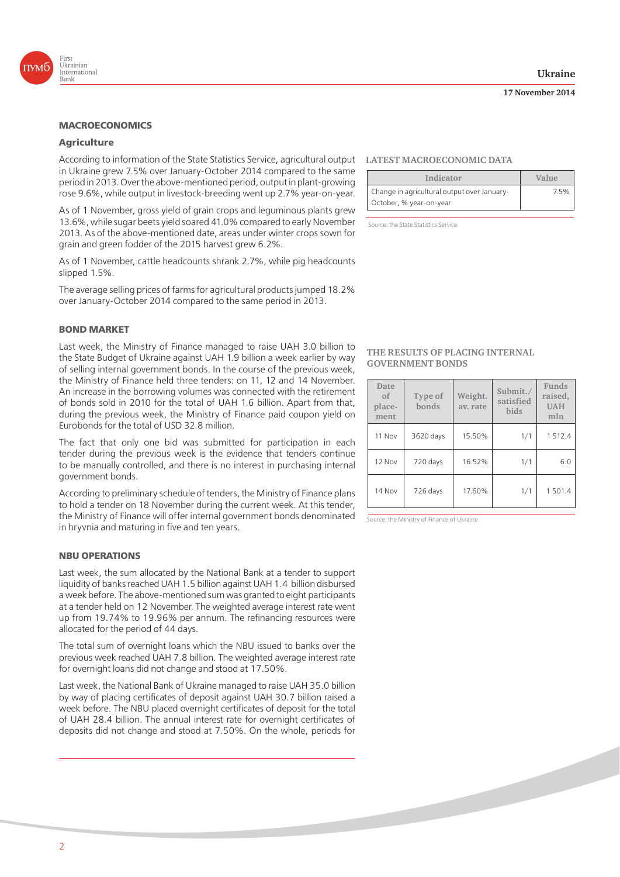



#### **Agriculture**

According to information of the State Statistics Service, agricultural output **LATEST MACROECONOMIC DATA** in Ukraine grew 7.5% over January-October 2014 compared to the same period in 2013. Over the above-mentioned period, output in plant-growing rose 9.6%, while output in livestock-breeding went up 2.7% year-on-year.

As of 1 November, gross yield of grain crops and leguminous plants grew 13.6%, while sugar beets yield soared 41.0% compared to early November 2013. As of the above-mentioned date, areas under winter crops sown for grain and green fodder of the 2015 harvest grew 6.2%.

As of 1 November, cattle headcounts shrank 2.7%, while pig headcounts slipped 1.5%.

The average selling prices of farms for agricultural products jumped 18.2% over January-October 2014 compared to the same period in 2013.

#### **BOND MARKET**

Last week, the Ministry of Finance managed to raise UAH 3.0 billion to the State Budget of Ukraine against UAH 1.9 billion a week earlier by way of selling internal government bonds. In the course of the previous week, the Ministry of Finance held three tenders: on 11, 12 and 14 November. An increase in the borrowing volumes was connected with the retirement of bonds sold in 2010 for the total of UAH 1.6 billion. Apart from that, during the previous week, the Ministry of Finance paid coupon yield on Eurobonds for the total of USD 32.8 million.

The fact that only one bid was submitted for participation in each tender during the previous week is the evidence that tenders continue to be manually controlled, and there is no interest in purchasing internal government bonds.

According to preliminary schedule of tenders, the Ministry of Finance plans to hold a tender on 18 November during the current week. At this tender, the Ministry of Finance will offer internal government bonds denominated in hryvnia and maturing in five and ten years.

#### **NBU OPERATIONS**

Last week, the sum allocated by the National Bank at a tender to support liquidity of banks reached UAH 1.5 billion against UAH 1.4 billion disbursed a week before. The above-mentioned sum was granted to eight participants at a tender held on 12 November. The weighted average interest rate went up from 19.74% to 19.96% per annum. The refinancing resources were allocated for the period of 44 days.

The total sum of overnight loans which the NBU issued to banks over the previous week reached UAH 7.8 billion. The weighted average interest rate for overnight loans did not change and stood at 17.50%.

Last week, the National Bank of Ukraine managed to raise UAH 35.0 billion by way of placing certificates of deposit against UAH 30.7 billion raised a week before. The NBU placed overnight certificates of deposit for the total of UAH 28.4 billion. The annual interest rate for overnight certificates of deposits did not change and stood at 7.50%. On the whole, periods for

| Indicator                                   | Value |
|---------------------------------------------|-------|
| Change in agricultural output over January- | 7.5%  |
| October, % year-on-year                     |       |

Source: the State Statistics Service

#### **THE RESULTS OF PLACING INTERNAL GOVERNMENT BONDS**

| Date<br>of<br>place-<br>ment | Type of<br>bonds | Weight.<br>av. rate | Submit./<br>satisfied<br>bids | Funds<br>raised,<br><b>UAH</b><br>mln |
|------------------------------|------------------|---------------------|-------------------------------|---------------------------------------|
| 11 Nov                       | 3620 days        | 15.50%              | 1/1                           | 1512.4                                |
| 12 Nov                       | 720 days         | 16.52%              | 1/1                           | 6.0                                   |
| 14 Nov                       | 726 days         | 17.60%              | 1/1                           | 1501.4                                |

Source: the Ministry of Finance of Ukraine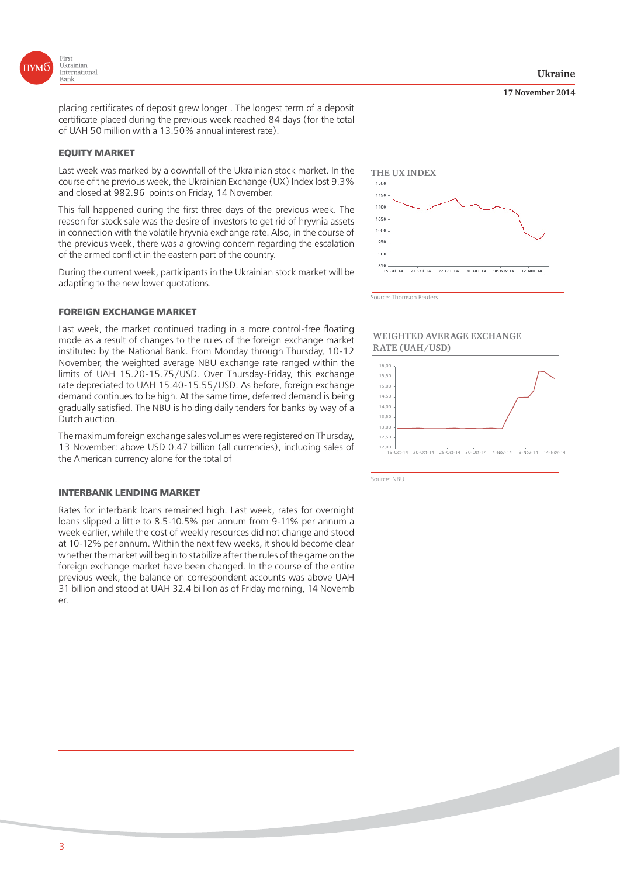

placing certificates of deposit grew longer . The longest term of a deposit certificate placed during the previous week reached 84 days (for the total of UAH 50 million with a 13.50% annual interest rate).

#### **EQUITY MARKET EQUITY MARKET**

Last week was marked by a downfall of the Ukrainian stock market. In the course of the previous week, the Ukrainian Exchange (UX) Index lost 9.3% and closed at 982.96 points on Friday, 14 November.

This fall happened during the first three days of the previous week. The reason for stock sale was the desire of investors to get rid of hryvnia assets in connection with the volatile hryvnia exchange rate. Also, in the course of the previous week, there was a growing concern regarding the escalation of the armed conflict in the eastern part of the country.

During the current week, participants in the Ukrainian stock market will be adapting to the new lower quotations.

#### **FOREIGN EXCHANGE MARKET**

Last week, the market continued trading in a more control-free floating mode as a result of changes to the rules of the foreign exchange market instituted by the National Bank. From Monday through Thursday, 10-12 November, the weighted average NBU exchange rate ranged within the limits of UAH 15.20-15.75/USD. Over Thursday-Friday, this exchange rate depreciated to UAH 15.40-15.55/USD. As before, foreign exchange demand continues to be high. At the same time, deferred demand is being gradually satisfied. The NBU is holding daily tenders for banks by way of a Dutch auction.

The maximum foreign exchange sales volumes were registered on Thursday, 13 November: above USD 0.47 billion (all currencies), including sales of the American currency alone for the total of

#### **INTERBANK LENDING MARKET**

Rates for interbank loans remained high. Last week, rates for overnight loans slipped a little to 8.5-10.5% per annum from 9-11% per annum a week earlier, while the cost of weekly resources did not change and stood at 10-12% per annum. Within the next few weeks, it should become clear whether the market will begin to stabilize after the rules of the game on the foreign exchange market have been changed. In the course of the entire previous week, the balance on correspondent accounts was above UAH 31 billion and stood at UAH 32.4 billion as of Friday morning, 14 Novemb er.



15-Oct-14 21-Oct-14 27-Oct-14 31-Oct-14 06-Nov-14 12-Nov-14

Source: Thomson Reuters

#### **WEIGHTED AVERAGE EXCHANGE RATE (UAH/USD)**



Source: NBU

#### **17 November 2014**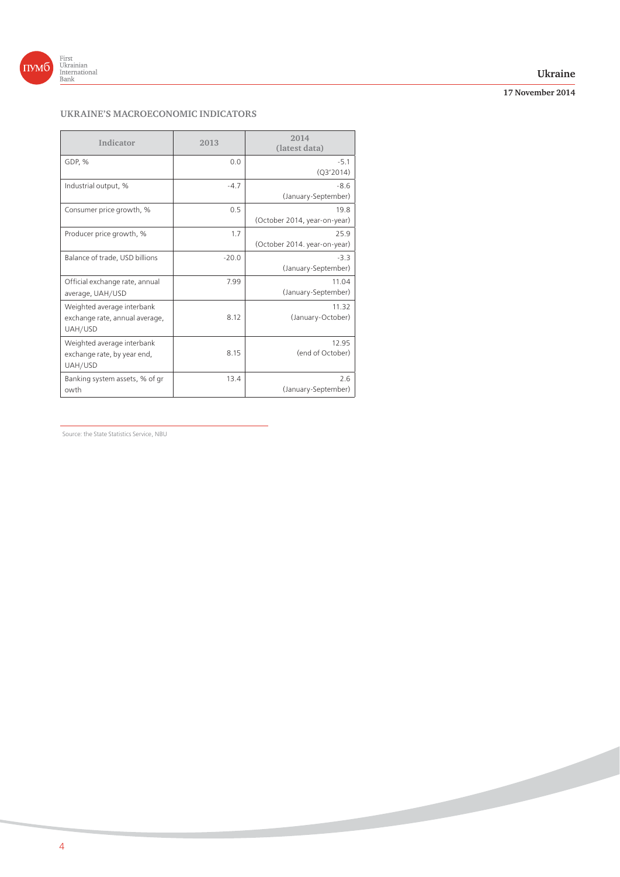

#### **Ukraine**

**17 November 2014**

### **UKRAINE'S MACROECONOMIC INDICATORS**

| Indicator                                                               | 2013    | 2014<br>(latest data)                |
|-------------------------------------------------------------------------|---------|--------------------------------------|
| GDP, %                                                                  | 0.0     | $-5.1$<br>(Q3'2014)                  |
| Industrial output, %                                                    | $-4.7$  | $-8.6$<br>(January-September)        |
| Consumer price growth, %                                                | 0.5     | 19.8<br>(October 2014, year-on-year) |
| Producer price growth, %                                                | 1.7     | 25.9<br>(October 2014. year-on-year) |
| Balance of trade, USD billions                                          | $-20.0$ | $-3.3$<br>(January-September)        |
| Official exchange rate, annual<br>average, UAH/USD                      | 7.99    | 11.04<br>(January-September)         |
| Weighted average interbank<br>exchange rate, annual average,<br>UAH/USD | 8.12    | 11.32<br>(January-October)           |
| Weighted average interbank<br>exchange rate, by year end,<br>UAH/USD    | 8.15    | 12.95<br>(end of October)            |
| Banking system assets, % of gr<br>owth                                  | 13.4    | 2.6<br>(January-September)           |

Source: the State Statistics Service, NBU